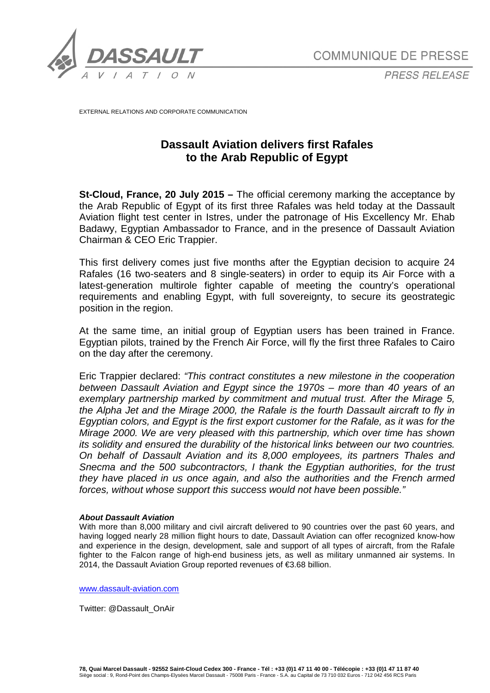

*PRESS RELEASE*

EXTERNAL RELATIONS AND CORPORATE COMMUNICATION

## **Dassault Aviation delivers first Rafales to the Arab Republic of Egypt**

**St-Cloud, France, 20 July 2015 –** The official ceremony marking the acceptance by the Arab Republic of Egypt of its first three Rafales was held today at the Dassault Aviation flight test center in Istres, under the patronage of His Excellency Mr. Ehab Badawy, Egyptian Ambassador to France, and in the presence of Dassault Aviation Chairman & CEO Eric Trappier.

This first delivery comes just five months after the Egyptian decision to acquire 24 Rafales (16 two-seaters and 8 single-seaters) in order to equip its Air Force with a latest-generation multirole fighter capable of meeting the country's operational requirements and enabling Egypt, with full sovereignty, to secure its geostrategic position in the region.

At the same time, an initial group of Egyptian users has been trained in France. Egyptian pilots, trained by the French Air Force, will fly the first three Rafales to Cairo on the day after the ceremony.

Eric Trappier declared: *"This contract constitutes a new milestone in the cooperation between Dassault Aviation and Egypt since the 1970s – more than 40 years of an exemplary partnership marked by commitment and mutual trust. After the Mirage 5, the Alpha Jet and the Mirage 2000, the Rafale is the fourth Dassault aircraft to fly in Egyptian colors, and Egypt is the first export customer for the Rafale, as it was for the Mirage 2000. We are very pleased with this partnership, which over time has shown its solidity and ensured the durability of the historical links between our two countries. On behalf of Dassault Aviation and its 8,000 employees, its partners Thales and Snecma and the 500 subcontractors, I thank the Egyptian authorities, for the trust they have placed in us once again, and also the authorities and the French armed forces, without whose support this success would not have been possible."*

## *About Dassault Aviation*

With more than 8,000 military and civil aircraft delivered to 90 countries over the past 60 years, and having logged nearly 28 million flight hours to date, Dassault Aviation can offer recognized know-how and experience in the design, development, sale and support of all types of aircraft, from the Rafale fighter to the Falcon range of high-end business jets, as well as military unmanned air systems. In 2014, the Dassault Aviation Group reported revenues of €3.68 billion.

[www.dassault-aviation.com](http://www.dassault-aviation.com/)

Twitter: @Dassault\_OnAir